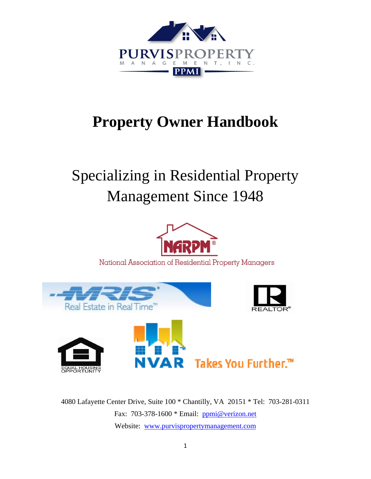

# **Property Owner Handbook**

# Specializing in Residential Property Management Since 1948



National Association of Residential Property Managers



4080 Lafayette Center Drive, Suite 100 \* Chantilly, VA 20151 \* Tel: 703-281-0311 Fax: 703-378-1600 \* Email: [ppmi@verizon.net](mailto:ppmi@verizon.net) Website: [www.purvispropertymanagement.com](http://www.purvispropertymanagement.com/)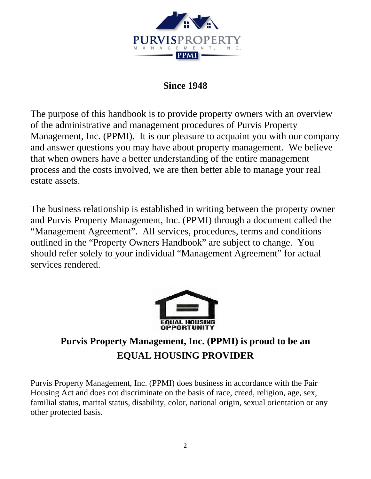

### **Since 1948**

The purpose of this handbook is to provide property owners with an overview of the administrative and management procedures of Purvis Property Management, Inc. (PPMI). It is our pleasure to acquaint you with our company and answer questions you may have about property management. We believe that when owners have a better understanding of the entire management process and the costs involved, we are then better able to manage your real estate assets.

The business relationship is established in writing between the property owner and Purvis Property Management, Inc. (PPMI) through a document called the "Management Agreement". All services, procedures, terms and conditions outlined in the "Property Owners Handbook" are subject to change. You should refer solely to your individual "Management Agreement" for actual services rendered.



# **Purvis Property Management, Inc. (PPMI) is proud to be an EQUAL HOUSING PROVIDER**

Purvis Property Management, Inc. (PPMI) does business in accordance with the Fair Housing Act and does not discriminate on the basis of race, creed, religion, age, sex, familial status, marital status, disability, color, national origin, sexual orientation or any other protected basis.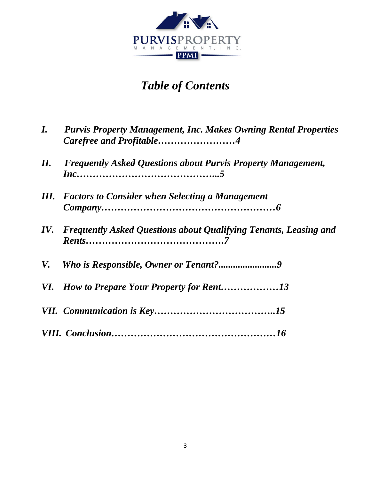

# *Table of Contents*

| I. Purvis Property Management, Inc. Makes Owning Rental Properties<br>Carefree and Profitable4 |
|------------------------------------------------------------------------------------------------|
| <b>II.</b> Frequently Asked Questions about Purvis Property Management,                        |
| <b>III.</b> Factors to Consider when Selecting a Management                                    |
| IV. Frequently Asked Questions about Qualifying Tenants, Leasing and                           |
|                                                                                                |
| VI. How to Prepare Your Property for Rent13                                                    |
|                                                                                                |
|                                                                                                |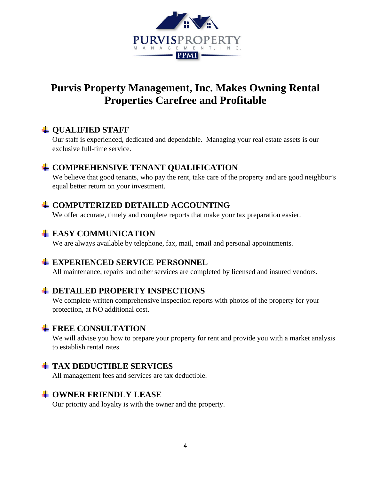

# **Purvis Property Management, Inc. Makes Owning Rental Properties Carefree and Profitable**

### **QUALIFIED STAFF**

Our staff is experienced, dedicated and dependable. Managing your real estate assets is our exclusive full-time service.

### **COMPREHENSIVE TENANT QUALIFICATION**

We believe that good tenants, who pay the rent, take care of the property and are good neighbor's equal better return on your investment.

### **COMPUTERIZED DETAILED ACCOUNTING**

We offer accurate, timely and complete reports that make your tax preparation easier.

### **EASY COMMUNICATION**

We are always available by telephone, fax, mail, email and personal appointments.

### **EXPERIENCED SERVICE PERSONNEL**

All maintenance, repairs and other services are completed by licensed and insured vendors.

### **EXPLORED PROPERTY INSPECTIONS**

We complete written comprehensive inspection reports with photos of the property for your protection, at NO additional cost.

### **FREE CONSULTATION**

We will advise you how to prepare your property for rent and provide you with a market analysis to establish rental rates.

### **TAX DEDUCTIBLE SERVICES**

All management fees and services are tax deductible.

### **COWNER FRIENDLY LEASE**

Our priority and loyalty is with the owner and the property.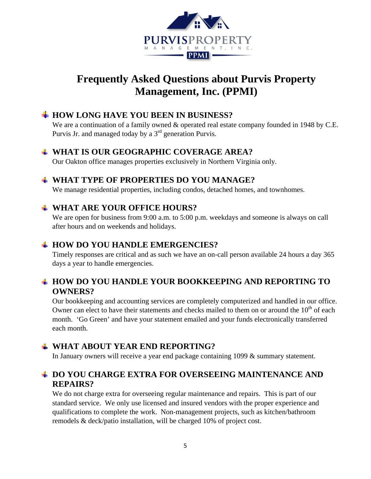

# **Frequently Asked Questions about Purvis Property Management, Inc. (PPMI)**

### **HOW LONG HAVE YOU BEEN IN BUSINESS?**

We are a continuation of a family owned  $\&$  operated real estate company founded in 1948 by C.E. Purvis Jr. and managed today by a 3<sup>rd</sup> generation Purvis.

### **WHAT IS OUR GEOGRAPHIC COVERAGE AREA?**

Our Oakton office manages properties exclusively in Northern Virginia only.

### **WHAT TYPE OF PROPERTIES DO YOU MANAGE?**

We manage residential properties, including condos, detached homes, and townhomes.

### **WHAT ARE YOUR OFFICE HOURS?**

We are open for business from 9:00 a.m. to 5:00 p.m. weekdays and someone is always on call after hours and on weekends and holidays.

### $+$  **HOW DO YOU HANDLE EMERGENCIES?**

Timely responses are critical and as such we have an on-call person available 24 hours a day 365 days a year to handle emergencies.

### **HOW DO YOU HANDLE YOUR BOOKKEEPING AND REPORTING TO OWNERS?**

Our bookkeeping and accounting services are completely computerized and handled in our office. Owner can elect to have their statements and checks mailed to them on or around the  $10<sup>th</sup>$  of each month. 'Go Green' and have your statement emailed and your funds electronically transferred each month.

### **WHAT ABOUT YEAR END REPORTING?**

In January owners will receive a year end package containing 1099 & summary statement.

### $\div$  **DO YOU CHARGE EXTRA FOR OVERSEEING MAINTENANCE AND REPAIRS?**

We do not charge extra for overseeing regular maintenance and repairs. This is part of our standard service. We only use licensed and insured vendors with the proper experience and qualifications to complete the work. Non-management projects, such as kitchen/bathroom remodels & deck/patio installation, will be charged 10% of project cost.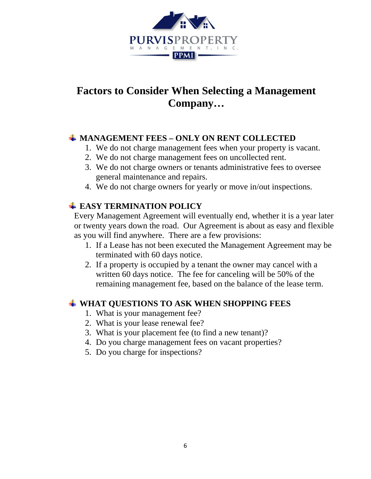

# **Factors to Consider When Selecting a Management Company…**

### $+$  **MANAGEMENT FEES – ONLY ON RENT COLLECTED**

- 1. We do not charge management fees when your property is vacant.
- 2. We do not charge management fees on uncollected rent.
- 3. We do not charge owners or tenants administrative fees to oversee general maintenance and repairs.
- 4. We do not charge owners for yearly or move in/out inspections.

### **EASY TERMINATION POLICY**

Every Management Agreement will eventually end, whether it is a year later or twenty years down the road. Our Agreement is about as easy and flexible as you will find anywhere. There are a few provisions:

- 1. If a Lease has not been executed the Management Agreement may be terminated with 60 days notice.
- 2. If a property is occupied by a tenant the owner may cancel with a written 60 days notice. The fee for canceling will be 50% of the remaining management fee, based on the balance of the lease term.

### **WHAT QUESTIONS TO ASK WHEN SHOPPING FEES**

- 1. What is your management fee?
- 2. What is your lease renewal fee?
- 3. What is your placement fee (to find a new tenant)?
- 4. Do you charge management fees on vacant properties?
- 5. Do you charge for inspections?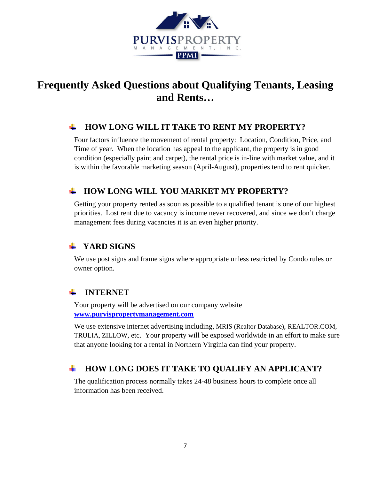

# **Frequently Asked Questions about Qualifying Tenants, Leasing and Rents…**

#### ٠L.  **HOW LONG WILL IT TAKE TO RENT MY PROPERTY?**

Four factors influence the movement of rental property: Location, Condition, Price, and Time of year. When the location has appeal to the applicant, the property is in good condition (especially paint and carpet), the rental price is in-line with market value, and it is within the favorable marketing season (April-August), properties tend to rent quicker.

#### ÷  **HOW LONG WILL YOU MARKET MY PROPERTY?**

Getting your property rented as soon as possible to a qualified tenant is one of our highest priorities. Lost rent due to vacancy is income never recovered, and since we don't charge management fees during vacancies it is an even higher priority.

### **YARD SIGNS**

We use post signs and frame signs where appropriate unless restricted by Condo rules or owner option.

#### ÷ **INTERNET**

Your property will be advertised on our company website **[www.purvispropertymanagement.com](http://www.purvispropertymanagement.com/)**

We use extensive internet advertising including, MRIS (Realtor Database), REALTOR.COM, TRULIA, ZILLOW, etc. Your property will be exposed worldwide in an effort to make sure that anyone looking for a rental in Northern Virginia can find your property.

#### ÷ **HOW LONG DOES IT TAKE TO QUALIFY AN APPLICANT?**

The qualification process normally takes 24-48 business hours to complete once all information has been received.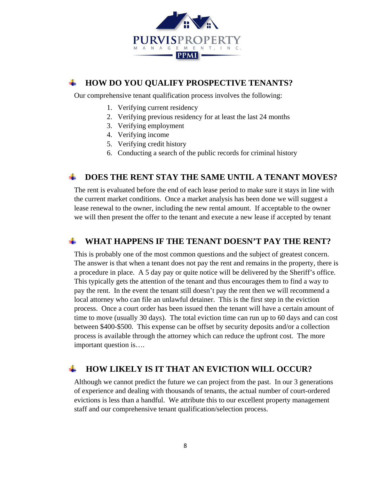

#### ۰.  **HOW DO YOU QUALIFY PROSPECTIVE TENANTS?**

Our comprehensive tenant qualification process involves the following:

- 1. Verifying current residency
- 2. Verifying previous residency for at least the last 24 months
- 3. Verifying employment
- 4. Verifying income
- 5. Verifying credit history
- 6. Conducting a search of the public records for criminal history

#### **DOES THE RENT STAY THE SAME UNTIL A TENANT MOVES?** ۰.

The rent is evaluated before the end of each lease period to make sure it stays in line with the current market conditions. Once a market analysis has been done we will suggest a lease renewal to the owner, including the new rental amount. If acceptable to the owner we will then present the offer to the tenant and execute a new lease if accepted by tenant

#### **WHAT HAPPENS IF THE TENANT DOESN'T PAY THE RENT?** ÷

This is probably one of the most common questions and the subject of greatest concern. The answer is that when a tenant does not pay the rent and remains in the property, there is a procedure in place. A 5 day pay or quite notice will be delivered by the Sheriff's office. This typically gets the attention of the tenant and thus encourages them to find a way to pay the rent. In the event the tenant still doesn't pay the rent then we will recommend a local attorney who can file an unlawful detainer. This is the first step in the eviction process. Once a court order has been issued then the tenant will have a certain amount of time to move (usually 30 days). The total eviction time can run up to 60 days and can cost between \$400-\$500. This expense can be offset by security deposits and/or a collection process is available through the attorney which can reduce the upfront cost. The more important question is….

#### ÷  **HOW LIKELY IS IT THAT AN EVICTION WILL OCCUR?**

Although we cannot predict the future we can project from the past. In our 3 generations of experience and dealing with thousands of tenants, the actual number of court-ordered evictions is less than a handful. We attribute this to our excellent property management staff and our comprehensive tenant qualification/selection process.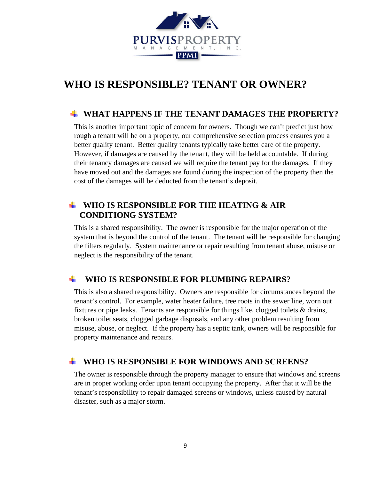

# **WHO IS RESPONSIBLE? TENANT OR OWNER?**

### **WHAT HAPPENS IF THE TENANT DAMAGES THE PROPERTY?**

This is another important topic of concern for owners. Though we can't predict just how rough a tenant will be on a property, our comprehensive selection process ensures you a better quality tenant. Better quality tenants typically take better care of the property. However, if damages are caused by the tenant, they will be held accountable. If during their tenancy damages are caused we will require the tenant pay for the damages. If they have moved out and the damages are found during the inspection of the property then the cost of the damages will be deducted from the tenant's deposit.

### **WHO IS RESPONSIBLE FOR THE HEATING & AIR CONDITIONG SYSTEM?**

This is a shared responsibility. The owner is responsible for the major operation of the system that is beyond the control of the tenant. The tenant will be responsible for changing the filters regularly. System maintenance or repair resulting from tenant abuse, misuse or neglect is the responsibility of the tenant.

#### **WHO IS RESPONSIBLE FOR PLUMBING REPAIRS?** ÷

This is also a shared responsibility. Owners are responsible for circumstances beyond the tenant's control. For example, water heater failure, tree roots in the sewer line, worn out fixtures or pipe leaks. Tenants are responsible for things like, clogged toilets & drains, broken toilet seats, clogged garbage disposals, and any other problem resulting from misuse, abuse, or neglect. If the property has a septic tank, owners will be responsible for property maintenance and repairs.

### **WHO IS RESPONSIBLE FOR WINDOWS AND SCREENS?**

The owner is responsible through the property manager to ensure that windows and screens are in proper working order upon tenant occupying the property. After that it will be the tenant's responsibility to repair damaged screens or windows, unless caused by natural disaster, such as a major storm.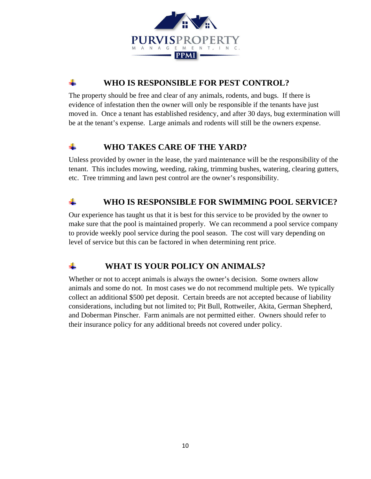

#### ÷.  **WHO IS RESPONSIBLE FOR PEST CONTROL?**

The property should be free and clear of any animals, rodents, and bugs. If there is evidence of infestation then the owner will only be responsible if the tenants have just moved in. Once a tenant has established residency, and after 30 days, bug extermination will be at the tenant's expense. Large animals and rodents will still be the owners expense.

#### ÷  **WHO TAKES CARE OF THE YARD?**

Unless provided by owner in the lease, the yard maintenance will be the responsibility of the tenant. This includes mowing, weeding, raking, trimming bushes, watering, clearing gutters, etc. Tree trimming and lawn pest control are the owner's responsibility.

#### ۰. **WHO IS RESPONSIBLE FOR SWIMMING POOL SERVICE?**

Our experience has taught us that it is best for this service to be provided by the owner to make sure that the pool is maintained properly. We can recommend a pool service company to provide weekly pool service during the pool season. The cost will vary depending on level of service but this can be factored in when determining rent price.

#### 4. **WHAT IS YOUR POLICY ON ANIMALS?**

Whether or not to accept animals is always the owner's decision. Some owners allow animals and some do not. In most cases we do not recommend multiple pets. We typically collect an additional \$500 pet deposit. Certain breeds are not accepted because of liability considerations, including but not limited to; Pit Bull, Rottweiler, Akita, German Shepherd, and Doberman Pinscher. Farm animals are not permitted either. Owners should refer to their insurance policy for any additional breeds not covered under policy.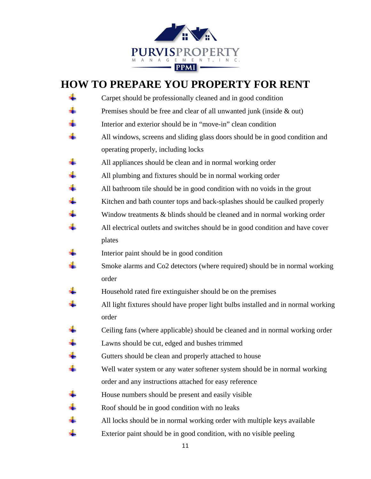

# **HOW TO PREPARE YOU PROPERTY FOR RENT**

| 4  | Carpet should be professionally cleaned and in good condition                     |
|----|-----------------------------------------------------------------------------------|
|    |                                                                                   |
| ÷  | Premises should be free and clear of all unwanted junk (inside $\&$ out)          |
| 4  | Interior and exterior should be in "move-in" clean condition                      |
| ÷  | All windows, screens and sliding glass doors should be in good condition and      |
|    | operating properly, including locks                                               |
| ÷  | All appliances should be clean and in normal working order                        |
| ٠  | All plumbing and fixtures should be in normal working order                       |
| t, | All bathroom tile should be in good condition with no voids in the grout          |
| ÷  | Kitchen and bath counter tops and back-splashes should be caulked properly        |
| ÷  | Window treatments $&$ blinds should be cleaned and in normal working order        |
| ÷  | All electrical outlets and switches should be in good condition and have cover    |
|    | plates                                                                            |
| ÷  | Interior paint should be in good condition                                        |
| ÷  | Smoke alarms and Co2 detectors (where required) should be in normal working       |
|    | order                                                                             |
|    | Household rated fire extinguisher should be on the premises                       |
| ∔  | All light fixtures should have proper light bulbs installed and in normal working |
|    | order                                                                             |
| 4  | Ceiling fans (where applicable) should be cleaned and in normal working order     |
| 4  | Lawns should be cut, edged and bushes trimmed                                     |
|    | Gutters should be clean and properly attached to house                            |
|    | Well water system or any water softener system should be in normal working        |
|    | order and any instructions attached for easy reference                            |
| 4  | House numbers should be present and easily visible                                |
|    | Roof should be in good condition with no leaks                                    |
|    | All locks should be in normal working order with multiple keys available          |
|    | Exterior paint should be in good condition, with no visible peeling               |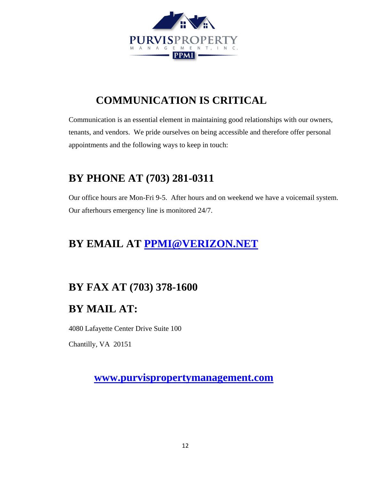

# **COMMUNICATION IS CRITICAL**

Communication is an essential element in maintaining good relationships with our owners, tenants, and vendors. We pride ourselves on being accessible and therefore offer personal appointments and the following ways to keep in touch:

# **BY PHONE AT (703) 281-0311**

Our office hours are Mon-Fri 9-5. After hours and on weekend we have a voicemail system. Our afterhours emergency line is monitored 24/7.

# **BY EMAIL AT [PPMI@VERIZON.NET](mailto:PPMI@VERIZON.NET)**

## **BY FAX AT (703) 378-1600**

## **BY MAIL AT:**

4080 Lafayette Center Drive Suite 100

Chantilly, VA 20151

**[www.purvispropertymanagement.com](http://www.purvispropertymanagement.com/)**